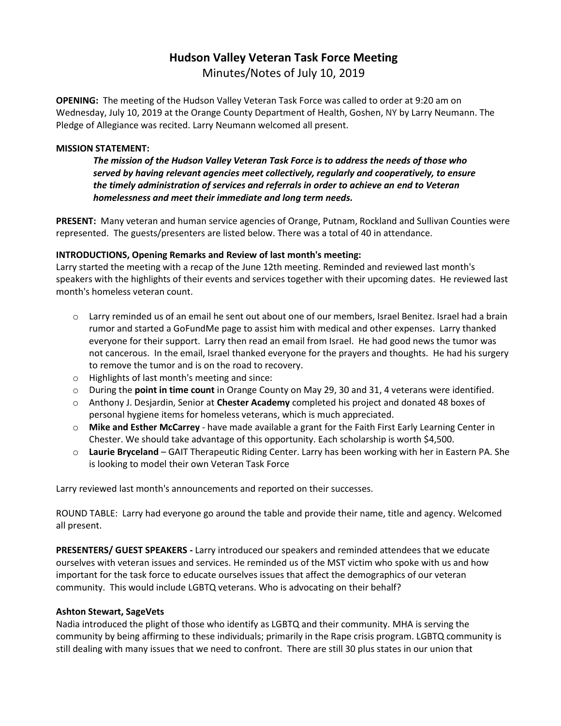# **Hudson Valley Veteran Task Force Meeting**

Minutes/Notes of July 10, 2019

**OPENING:** The meeting of the Hudson Valley Veteran Task Force was called to order at 9:20 am on Wednesday, July 10, 2019 at the Orange County Department of Health, Goshen, NY by Larry Neumann. The Pledge of Allegiance was recited. Larry Neumann welcomed all present.

### **MISSION STATEMENT:**

*The mission of the Hudson Valley Veteran Task Force is to address the needs of those who served by having relevant agencies meet collectively, regularly and cooperatively, to ensure the timely administration of services and referrals in order to achieve an end to Veteran homelessness and meet their immediate and long term needs.* 

**PRESENT:** Many veteran and human service agencies of Orange, Putnam, Rockland and Sullivan Counties were represented. The guests/presenters are listed below. There was a total of 40 in attendance.

## **INTRODUCTIONS, Opening Remarks and Review of last month's meeting:**

Larry started the meeting with a recap of the June 12th meeting. Reminded and reviewed last month's speakers with the highlights of their events and services together with their upcoming dates. He reviewed last month's homeless veteran count.

- o Larry reminded us of an email he sent out about one of our members, Israel Benitez. Israel had a brain rumor and started a GoFundMe page to assist him with medical and other expenses. Larry thanked everyone for their support. Larry then read an email from Israel. He had good news the tumor was not cancerous. In the email, Israel thanked everyone for the prayers and thoughts. He had his surgery to remove the tumor and is on the road to recovery.
- o Highlights of last month's meeting and since:
- o During the **point in time count** in Orange County on May 29, 30 and 31, 4 veterans were identified.
- o Anthony J. Desjardin, Senior at **Chester Academy** completed his project and donated 48 boxes of personal hygiene items for homeless veterans, which is much appreciated.
- o **Mike and Esther McCarrey** have made available a grant for the Faith First Early Learning Center in Chester. We should take advantage of this opportunity. Each scholarship is worth \$4,500.
- o **Laurie Bryceland** GAIT Therapeutic Riding Center. Larry has been working with her in Eastern PA. She is looking to model their own Veteran Task Force

Larry reviewed last month's announcements and reported on their successes.

ROUND TABLE: Larry had everyone go around the table and provide their name, title and agency. Welcomed all present.

**PRESENTERS/ GUEST SPEAKERS -** Larry introduced our speakers and reminded attendees that we educate ourselves with veteran issues and services. He reminded us of the MST victim who spoke with us and how important for the task force to educate ourselves issues that affect the demographics of our veteran community. This would include LGBTQ veterans. Who is advocating on their behalf?

### **Ashton Stewart, SageVets**

Nadia introduced the plight of those who identify as LGBTQ and their community. MHA is serving the community by being affirming to these individuals; primarily in the Rape crisis program. LGBTQ community is still dealing with many issues that we need to confront. There are still 30 plus states in our union that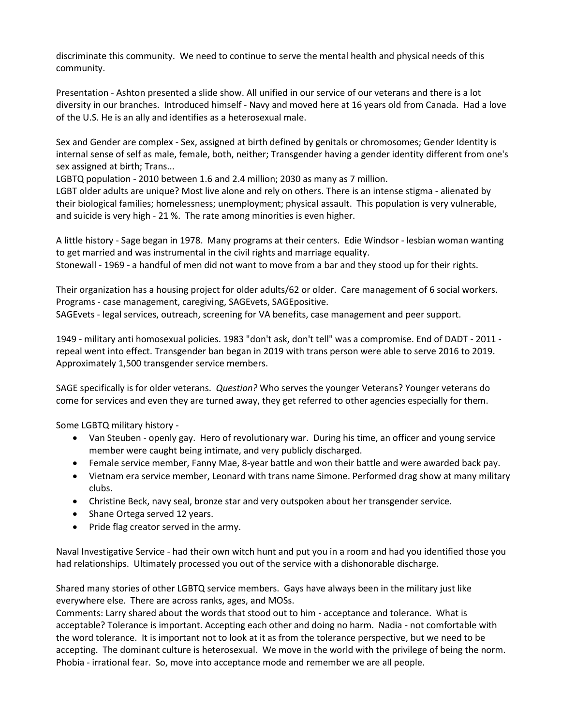discriminate this community. We need to continue to serve the mental health and physical needs of this community.

Presentation - Ashton presented a slide show. All unified in our service of our veterans and there is a lot diversity in our branches. Introduced himself - Navy and moved here at 16 years old from Canada. Had a love of the U.S. He is an ally and identifies as a heterosexual male.

Sex and Gender are complex - Sex, assigned at birth defined by genitals or chromosomes; Gender Identity is internal sense of self as male, female, both, neither; Transgender having a gender identity different from one's sex assigned at birth; Trans...

LGBTQ population - 2010 between 1.6 and 2.4 million; 2030 as many as 7 million.

LGBT older adults are unique? Most live alone and rely on others. There is an intense stigma - alienated by their biological families; homelessness; unemployment; physical assault. This population is very vulnerable, and suicide is very high - 21 %. The rate among minorities is even higher.

A little history - Sage began in 1978. Many programs at their centers. Edie Windsor - lesbian woman wanting to get married and was instrumental in the civil rights and marriage equality.

Stonewall - 1969 - a handful of men did not want to move from a bar and they stood up for their rights.

Their organization has a housing project for older adults/62 or older. Care management of 6 social workers. Programs - case management, caregiving, SAGEvets, SAGEpositive. SAGEvets - legal services, outreach, screening for VA benefits, case management and peer support.

1949 - military anti homosexual policies. 1983 "don't ask, don't tell" was a compromise. End of DADT - 2011 repeal went into effect. Transgender ban began in 2019 with trans person were able to serve 2016 to 2019. Approximately 1,500 transgender service members.

SAGE specifically is for older veterans. *Question?* Who serves the younger Veterans? Younger veterans do come for services and even they are turned away, they get referred to other agencies especially for them.

Some LGBTQ military history -

- Van Steuben openly gay. Hero of revolutionary war. During his time, an officer and young service member were caught being intimate, and very publicly discharged.
- Female service member, Fanny Mae, 8-year battle and won their battle and were awarded back pay.
- Vietnam era service member, Leonard with trans name Simone. Performed drag show at many military clubs.
- Christine Beck, navy seal, bronze star and very outspoken about her transgender service.
- Shane Ortega served 12 years.
- Pride flag creator served in the army.

Naval Investigative Service - had their own witch hunt and put you in a room and had you identified those you had relationships. Ultimately processed you out of the service with a dishonorable discharge.

Shared many stories of other LGBTQ service members. Gays have always been in the military just like everywhere else. There are across ranks, ages, and MOSs.

Comments: Larry shared about the words that stood out to him - acceptance and tolerance. What is acceptable? Tolerance is important. Accepting each other and doing no harm. Nadia - not comfortable with the word tolerance. It is important not to look at it as from the tolerance perspective, but we need to be accepting. The dominant culture is heterosexual. We move in the world with the privilege of being the norm. Phobia - irrational fear. So, move into acceptance mode and remember we are all people.